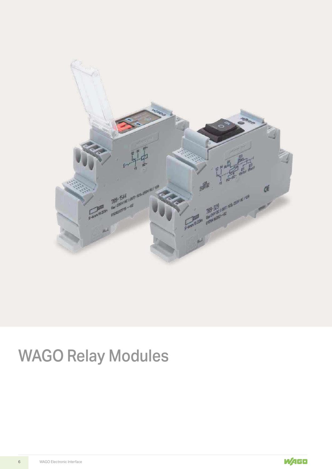

# WAGO Relay Modules

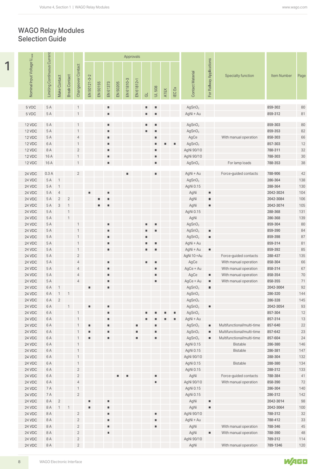#### WAGO Relay Modules Selection Guide

|                                        |                                    |                                  |                                  |                                |                |          |                              |          | Approvals  |                |                         |                  |      |                |                                          |                                  |                                        |                      |              |
|----------------------------------------|------------------------------------|----------------------------------|----------------------------------|--------------------------------|----------------|----------|------------------------------|----------|------------|----------------|-------------------------|------------------|------|----------------|------------------------------------------|----------------------------------|----------------------------------------|----------------------|--------------|
| Nominal Input Voltage U <sub>nom</sub> | <b>Limiting Continuous Current</b> | Make Contact                     | <b>Break Contact</b>             | Changeover Contact             | EN 50121-3-2   | EN 50155 | EN 61373                     | EN 50205 | EN 61810-3 | EN 61812-1     | $\overline{\texttt{C}}$ | 508<br>$\exists$ | ATEX | IEC Ex         | <b>Contact Material</b>                  | For Railway Applications         | <b>Specialty function</b>              | <b>Item Number</b>   |              |
| 5 VDC                                  | 5 A                                |                                  |                                  |                                |                |          | ٠                            |          |            |                | ш.                      |                  |      |                | AgSnO <sub>2</sub>                       |                                  |                                        | 859-302              |              |
| 5 VDC                                  | 5 A                                |                                  |                                  |                                |                |          | $\blacksquare$               |          |            |                | u,                      |                  |      |                | AgNi + Au                                |                                  |                                        | 859-312              | 80<br>81     |
|                                        | 5 A                                |                                  |                                  |                                |                |          | ٠                            |          |            |                | ш.                      |                  |      |                | AgSnO <sub>2</sub>                       |                                  |                                        | 859-303              |              |
| 12 VDC<br>12 VDC                       | 5 A                                |                                  |                                  | $\mathbf{1}$                   |                |          | ٠                            |          |            |                |                         |                  |      |                | AgSnO <sub>2</sub>                       |                                  |                                        | 859-353              | 80<br>82     |
| 12 VDC                                 | 5 A                                |                                  |                                  | $\overline{4}$                 |                |          | $\blacksquare$               |          |            |                |                         |                  |      |                | AgCe                                     |                                  | With manual operation                  | 858-303              | 66           |
| 12 VDC                                 | 6 A                                |                                  |                                  | $\mathbf{1}$                   |                |          | $\blacksquare$               |          |            |                |                         |                  |      |                | AgSnO <sub>2</sub>                       |                                  |                                        | 857-303              | $12$         |
| 12 VDC                                 | 8 A                                |                                  |                                  | $\sqrt{2}$                     |                |          | $\blacksquare$               |          |            |                |                         |                  |      |                | AgNi 90/10                               |                                  |                                        | 788-311              | 32           |
| 12 VDC                                 | 16A                                |                                  |                                  | $\mathbf{1}$                   |                |          | ٠                            |          |            |                |                         |                  |      |                | AgNi 90/10                               |                                  |                                        | 788-303              | $30\,$       |
| 12 VDC                                 | 16A                                |                                  |                                  | $\mathbf{1}$                   |                |          | ٠                            |          |            |                |                         | ٠                |      |                | AgSnO <sub>2</sub>                       |                                  | For lamp loads                         | 788-353              | 38           |
| 24 VDC                                 | 0.3A                               |                                  |                                  | $\overline{2}$                 |                |          |                              |          |            |                |                         | ш                |      |                | AgNi + Au                                |                                  | Force-guided contacts                  | 788-906              | $42\,$       |
| 24 VDC                                 | 5 A                                | $\overline{1}$                   |                                  |                                |                |          |                              |          |            |                |                         |                  |      |                | AgSnO <sub>2</sub>                       |                                  |                                        | 286-364              | 138          |
| 24 VDC                                 | 5 A                                | $\overline{1}$                   |                                  |                                |                |          |                              |          |            |                |                         |                  |      |                | AgNi 0.15                                |                                  |                                        | 288-364              | 130          |
| 24 VDC                                 | 5 A                                | $\overline{4}$                   |                                  |                                | ш              |          | ٠                            |          |            |                |                         |                  |      |                | AgNi                                     | $\blacksquare$                   |                                        | 2042-3024            | 104          |
| 24 VDC<br>24 VDC                       | 5 A                                | $\sqrt{2}$                       | $\overline{2}$<br>$\overline{1}$ |                                |                | ш        | ٠<br>п                       |          |            |                |                         |                  |      |                | AgNi                                     | $\blacksquare$<br>$\blacksquare$ |                                        | 2042-3084            | 106          |
| 24 VDC                                 | 5 A<br>5 A                         | $\ensuremath{\mathsf{3}}$        | $\mathbf{1}$                     |                                |                | ш.       |                              |          |            |                |                         |                  |      |                | AgNi<br>AgNi 0.15                        |                                  |                                        | 2042-3074<br>288-368 | 105<br>131   |
| 24 VDC                                 | 5 A                                |                                  | $\mathbf{1}$                     |                                |                |          |                              |          |            |                |                         |                  |      |                | AgNi                                     |                                  |                                        | 286-368              | 139          |
| 24 VDC                                 | 5 A                                |                                  |                                  |                                |                |          | ٠                            |          |            |                | ш.                      |                  |      |                | AgSnO <sub>2</sub>                       |                                  |                                        | 859-304              | 80           |
| 24 VDC                                 | 5 A                                |                                  |                                  | $\mathbf{1}$                   |                |          | $\blacksquare$               |          |            |                | ш.                      |                  |      |                | AgSnO <sub>2</sub>                       | $\blacksquare$                   |                                        | 859-390              | 84           |
| 24 VDC                                 | 5 A                                |                                  |                                  | $\mathbf{1}$                   |                |          | $\blacksquare$               |          |            |                |                         |                  |      |                | AgSnO <sub>2</sub>                       | $\blacksquare$                   |                                        | 859-398              | 87           |
| 24 VDC                                 | 5 A                                |                                  |                                  | $\mathbf{1}$                   |                |          | ٠                            |          |            |                | ٠                       |                  |      |                | AgNi + Au                                |                                  |                                        | 859-314              | 81           |
| 24 VDC<br>24 VDC                       | 5 A<br>5 A                         |                                  |                                  | $\mathbf{1}$<br>$\overline{2}$ |                |          | $\blacksquare$               |          |            |                | ш.                      | ш                |      |                | AgNi + Au<br>AgNi 10 + Au                | $\qquad \qquad \blacksquare$     | Force-guided contacts                  | 859-392<br>288-437   | 85<br>135    |
| <b>24 VDC</b>                          | 5 A                                |                                  |                                  | $\overline{4}$                 |                |          | ٠                            |          |            |                | ш.                      | ш                |      |                | AgCe                                     |                                  | With manual operation                  | 858-304              | 66           |
| 24 VDC                                 | 5 A                                |                                  |                                  | $\overline{4}$                 |                |          | ٠                            |          |            |                |                         | ш                |      |                | AgCe + Au                                |                                  | With manual operation                  | 858-314              | 67           |
| <b>24 VDC</b>                          | 5 A                                |                                  |                                  | $\overline{4}$                 |                |          | ٠                            |          |            |                |                         |                  |      |                | AgCe                                     | $\qquad \qquad \blacksquare$     | With manual operation                  | 858-354              | 70           |
| <b>24 VDC</b>                          | 5 A                                |                                  |                                  | $\overline{4}$                 |                |          | $\blacksquare$               |          |            |                |                         |                  |      |                | AgCe + Au                                | $\blacksquare$                   | With manual operation                  | 858-355              | 71           |
| <b>24 VDC</b>                          | 6 A                                | $\overline{1}$                   |                                  |                                | $\blacksquare$ |          | $\blacksquare$               |          |            |                |                         |                  |      |                | AgSnO <sub>2</sub>                       | ш                                |                                        | 2042-3004            | 92           |
| 24 VDC<br>24 VDC                       | 6 A<br>6 A                         | $\overline{1}$<br>$\overline{2}$ | $\overline{1}$                   |                                |                |          |                              |          |            |                |                         |                  |      |                | AgSnO <sub>2</sub><br>AgSnO <sub>2</sub> |                                  |                                        | 286-320<br>286-328   | $144$<br>145 |
| 24 VDC                                 | 6 A                                |                                  | $\mathbf{1}$                     |                                | $\blacksquare$ |          | $\blacksquare$               |          |            |                |                         |                  |      |                | AgSnO <sub>2</sub>                       | $\blacksquare$                   |                                        | 2042-3054            | 93           |
| 24 VDC                                 | 6 A                                |                                  |                                  | $\mathbf{1}$                   |                |          | ٠                            |          |            |                |                         |                  |      | $\blacksquare$ | AgSnO <sub>2</sub>                       |                                  |                                        | 857-304              | $12\,$       |
| 24 VDC                                 | 6 A                                |                                  |                                  | $\mathbf{1}$                   |                |          | ٠                            |          |            |                |                         |                  |      | ш              | AgNi + Au                                |                                  |                                        | 857-314              | 13           |
| <b>24 VDC</b>                          | 6 A                                |                                  |                                  | $\mathbf{1}$                   | ٠              |          | ٠                            |          |            | ш              |                         |                  |      |                | AgSnO <sub>2</sub>                       | ш                                | Multifunctional/multi-time             | 857-640              | 22           |
| <b>24 VDC</b>                          | 6 A                                |                                  |                                  | $\mathbf{1}$                   | ш              |          | ٠                            |          |            | ш              |                         |                  |      |                | AgSnO <sub>2</sub>                       | $\qquad \qquad \blacksquare$     | Multifunctional/multi-time             | 857-642              | 23           |
| <b>24 VDC</b><br>24 VDC                | 6 A<br>6 A                         |                                  |                                  | $\mathbf{1}$                   | ш              |          | п                            |          |            | $\blacksquare$ |                         | ш                |      |                | AgSnO <sub>2</sub>                       | $\qquad \qquad \blacksquare$     | Multifunctional/multi-time<br>Bistable | 857-604<br>286-380   | 24<br>146    |
| 24 VDC                                 | 6 A                                |                                  |                                  | $\mathbf{1}$<br>$\mathbf{1}$   |                |          |                              |          |            |                |                         |                  |      |                | AgNi 0.15<br>AgNi 0.15                   |                                  | Bistable                               | 286-381              | 147          |
| 24 VDC                                 | 6 A                                |                                  |                                  | $\mathbf{1}$                   |                |          |                              |          |            |                |                         |                  |      |                | AgNi 90/10                               |                                  |                                        | 288-304              | 132          |
| 24 VDC                                 | 6 A                                |                                  |                                  | $\mathbf{1}$                   |                |          |                              |          |            |                |                         |                  |      |                | AgNi 0.15                                |                                  | Bistable                               | 288-380              | 134          |
| 24 VDC                                 | 6 A                                |                                  |                                  | $\sqrt{2}$                     |                |          |                              |          |            |                |                         |                  |      |                | AgNi 0.15                                |                                  |                                        | 288-312              | 133          |
| 24 VDC                                 | 6 A                                |                                  |                                  | $\overline{2}$                 |                |          |                              |          |            |                |                         | ш                |      |                | AgNi                                     |                                  | Force-guided contacts                  | 788-384              | 41           |
| <b>24 VDC</b>                          | 6 A                                |                                  |                                  | $\sqrt{4}$                     |                |          |                              |          |            |                |                         | ш                |      |                | AgNi 90/10                               |                                  | With manual operation                  | 858-390              | 72           |
| <b>24 VDC</b>                          | 7 A                                |                                  |                                  | $\mathbf{1}$                   |                |          |                              |          |            |                |                         |                  |      |                | AgNi 0.15                                |                                  |                                        | 286-304              | 140          |
| 24 VDC<br>24 VDC                       | 7 A<br>8 A                         | $\overline{2}$                   |                                  | $\sqrt{2}$                     | $\blacksquare$ |          | ٠                            |          |            |                |                         |                  |      |                | AgNi 0.15<br>AgNi                        | $\blacksquare$                   |                                        | 286-312<br>2042-3014 | 142<br>98    |
| 24 VDC                                 | 8 A                                | $\mathbf{1}$                     | $\overline{1}$                   |                                | $\blacksquare$ |          | $\blacksquare$               |          |            |                |                         |                  |      |                | AgNi                                     | ш                                |                                        | 2042-3064            | 100          |
| <b>24 VDC</b>                          | 8 A                                |                                  |                                  | $\sqrt{2}$                     |                |          | $\blacksquare$               |          |            |                |                         | ш                |      |                | AgNi 90/10                               |                                  |                                        | 788-312              | 32           |
| 24 VDC                                 | 8 A                                |                                  |                                  | $\sqrt{2}$                     |                |          | ٠                            |          |            |                |                         | ш                |      |                | AgNi + Au                                |                                  |                                        | 788-412              | 33           |
| 24 VDC                                 | 8 A                                |                                  |                                  | $\sqrt{2}$                     |                |          | $\blacksquare$               |          |            |                |                         | ш                |      |                | AgNi                                     |                                  | With manual operation                  | 788-346              | $45\,$       |
| 24 VDC                                 | 8 A                                |                                  |                                  | $\overline{2}$                 |                |          | $\qquad \qquad \blacksquare$ |          |            |                |                         |                  |      |                | AgNi                                     | $\blacksquare$                   | With manual operation                  | 788-390              | 48           |
| <b>24 VDC</b>                          | 8 A<br>8 A                         |                                  |                                  | $\sqrt{2}$<br>$\overline{2}$   |                |          |                              |          |            |                |                         |                  |      |                | AgNi 90/10<br>AgNi                       |                                  | With manual operation                  | 789-312<br>789-1346  | 114<br>120   |

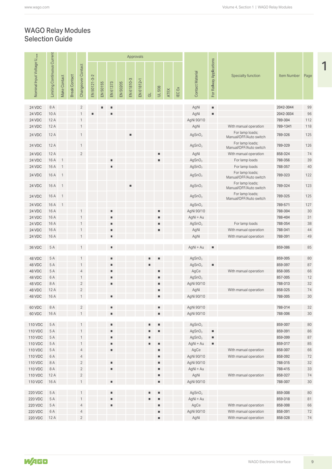#### Selection Guide WAGO Relay Modules

|                                        |                                    |                |                      |                              |              |          |                                  |          | Approvals      |            |           |                     |             |        |                            |                          |                                                |                    |          |
|----------------------------------------|------------------------------------|----------------|----------------------|------------------------------|--------------|----------|----------------------------------|----------|----------------|------------|-----------|---------------------|-------------|--------|----------------------------|--------------------------|------------------------------------------------|--------------------|----------|
| Nominal Input Voltage U <sub>nom</sub> | <b>Limiting Continuous Current</b> | Make Contact   | <b>Break Contact</b> | Changeover Contact           | EN 50121-3-2 | EN 50155 | EN 61373                         | EN 50205 | EN 61810-3     | EN 61812-1 | $\vec{c}$ | <b>UL 508</b>       | <b>ATEX</b> | IEC Ex | <b>Contact Material</b>    | For Railway Applications | <b>Specialty function</b>                      | Item Number        | Page     |
| 24 VDC                                 | 8 A                                |                |                      | $\overline{2}$               |              | п        | ٠                                |          |                |            |           |                     |             |        | AgNi                       | $\blacksquare$           |                                                | 2042-3044          | 99       |
| 24 VDC                                 | 10A                                |                |                      | $\mathbf{1}$                 | п            |          | ٠                                |          |                |            |           |                     |             |        | AgNi                       | $\blacksquare$           |                                                | 2042-3034          | 96       |
| 24 VDC                                 | 12A                                |                |                      | $\mathbf{1}$                 |              |          |                                  |          |                |            |           |                     |             |        | AgNi 90/10                 |                          |                                                | 789-304            | 112      |
| 24 VDC                                 | 12A                                |                |                      | $\overline{1}$               |              |          |                                  |          |                |            |           |                     |             |        | AgNi                       |                          | With manual operation                          | 789-1341           | 118      |
| 24 VDC                                 | 12A                                |                |                      | $\mathbf{1}$                 |              |          |                                  |          | ш              |            |           |                     |             |        | AgSnO <sub>2</sub>         |                          | For lamp loads;<br>Manual/OFF/Auto switch      | 789-326            | 125      |
| 24 VDC                                 | 12A                                |                |                      | $\mathbf{1}$                 |              |          |                                  |          |                |            |           |                     |             |        | AgSnO <sub>2</sub>         |                          | For lamp loads;<br>Manual/OFF/Auto switch      | 789-329            | 126      |
| 24 VDC                                 | 12A                                |                |                      | $\overline{2}$               |              |          |                                  |          |                |            |           | ш                   |             |        | AgNi                       |                          | With manual operation                          | 858-324            | 74       |
| 24 VDC                                 | 16 A                               | $\overline{1}$ |                      |                              |              |          | $\blacksquare$                   |          |                |            |           | ٠                   |             |        | AgSnO <sub>2</sub>         |                          | For lamp loads                                 | 788-356            | 39       |
| 24 VDC                                 | 16 A                               | $\overline{1}$ |                      |                              |              |          | $\blacksquare$                   |          |                |            |           |                     |             |        | AgSnO <sub>2</sub>         |                          | For lamp loads<br>For lamp loads;              | 788-357            | 40       |
| 24 VDC                                 | 16 A                               | $\overline{1}$ |                      |                              |              |          |                                  |          |                |            |           |                     |             |        | AgSnO <sub>2</sub>         |                          | Manual/OFF/Auto switch<br>For lamp loads;      | 789-323            | 122      |
| 24 VDC                                 | 16A 1                              |                |                      |                              |              |          |                                  |          | $\blacksquare$ |            |           |                     |             |        | AgSnO <sub>2</sub>         |                          | Manual/OFF/Auto switch<br>For lamp loads;      | 789-324            | 123      |
| 24 VDC                                 | 16 A                               | $\overline{1}$ |                      |                              |              |          |                                  |          |                |            |           |                     |             |        | AgSnO <sub>2</sub>         |                          | Manual/OFF/Auto switch                         | 789-325            | 125      |
| 24 VDC                                 | 16A                                | $\overline{1}$ |                      |                              |              |          |                                  |          |                |            |           |                     |             |        | AgSnO <sub>2</sub>         |                          |                                                | 789-571            | 127      |
| 24 VDC                                 | 16A                                |                |                      |                              |              |          | $\blacksquare$                   |          |                |            |           | ٠                   |             |        | AgNi 90/10                 |                          |                                                | 788-304            | 30       |
| 24 VDC                                 | 16 A                               |                |                      |                              |              |          | п                                |          |                |            |           |                     |             |        | AgNi + Au                  |                          |                                                | 788-404            | 31       |
| 24 VDC                                 | 16A                                |                |                      |                              |              |          | $\blacksquare$                   |          |                |            |           | ٠                   |             |        | AgSnO <sub>2</sub>         |                          | For lamp loads                                 | 788-354            | 38       |
| 24 VDC<br>24 VDC                       | 16 A<br>16A                        |                |                      |                              |              |          | $\blacksquare$<br>$\blacksquare$ |          |                |            |           | п                   |             |        | AgNi<br>AgNi               |                          | With manual operation<br>With manual operation | 788-341<br>788-391 | 44<br>49 |
| 36 VDC                                 | 5 A                                |                |                      |                              |              |          | $\blacksquare$                   |          |                |            |           |                     |             |        | AgNi + Au                  | $\blacksquare$           |                                                | 859-386            | 85       |
|                                        |                                    |                |                      |                              |              |          |                                  |          |                |            |           |                     |             |        |                            |                          |                                                |                    |          |
| 48 VDC<br>48 VDC                       | 5 A                                |                |                      |                              |              |          | ш                                |          |                |            |           |                     |             |        | AgSnO <sub>2</sub>         |                          |                                                | 859-305            | 80<br>87 |
| 48 VDC                                 | 5 A<br>5 A                         |                |                      | $\overline{4}$               |              |          | в                                |          |                |            |           | ٠                   |             |        | AgSnO <sub>2</sub><br>AgCe | ш                        | With manual operation                          | 859-397<br>858-305 | 66       |
| 48 VDC                                 | 6A                                 |                |                      | $\mathbf{1}$                 |              |          | $\blacksquare$                   |          |                |            |           | ۰                   |             |        | AgSnO <sub>2</sub>         |                          |                                                | 857-305            | 12       |
| 48 VDC                                 | 8 A                                |                |                      | $\overline{2}$               |              |          | $\blacksquare$                   |          |                |            |           | ۰,                  |             |        | AgNi 90/10                 |                          |                                                | 788-313            | 32       |
| 48 VDC                                 | 12A                                |                |                      | $\overline{2}$               |              |          |                                  |          |                |            |           | ш                   |             |        | AgNi                       |                          | With manual operation                          | 858-325            | 74       |
| 48 VDC                                 | 16 A                               |                |                      | $\overline{1}$               |              |          | $\blacksquare$                   |          |                |            |           | $\blacksquare$      |             |        | AgNi 90/10                 |                          |                                                | 788-305            | 30       |
|                                        |                                    |                |                      |                              |              |          | $\blacksquare$                   |          |                |            |           |                     |             |        |                            |                          |                                                |                    |          |
| 60 VDC<br>60 VDC                       | 8 A<br>16 A                        |                |                      | $\overline{2}$               |              |          | $\blacksquare$                   |          |                |            |           | ٠,<br>п             |             |        | AgNi 90/10<br>AgNi 90/10   |                          |                                                | 788-314<br>788-306 | 32<br>30 |
| 110 VDC                                | 5 A                                |                |                      |                              |              |          | $\blacksquare$                   |          |                |            | ш.        | $\blacksquare$      |             |        | AgSnO <sub>2</sub>         |                          |                                                | 859-307            | 80       |
| 110 VDC                                | 5 A                                |                |                      |                              |              |          | $\blacksquare$                   |          |                |            | ш         | $\blacksquare$      |             |        | AgSnO <sub>2</sub>         | $\blacksquare$           |                                                | 859-391            | 86       |
| 110 VDC                                | 5 A                                |                |                      | $\mathbf{1}$                 |              |          | ٠                                |          |                |            | ш         |                     |             |        | AgSnO <sub>2</sub>         | $\blacksquare$           |                                                | 859-399            | 87       |
| 110 VDC                                | 5 A                                |                |                      | $\mathbf{1}$                 |              |          | ٠                                |          |                |            | ш         | ٠                   |             |        | AgNi + Au                  | $\blacksquare$           |                                                | 859-317            | 85       |
| 110 VDC                                | 5 A                                |                |                      | $\overline{4}$               |              |          | $\blacksquare$                   |          |                |            |           | ш                   |             |        | AgCe                       |                          | With manual operation                          | 858-307            | 66       |
| 110 VDC                                | 6 A                                |                |                      | $\sqrt{4}$                   |              |          |                                  |          |                |            |           | ш                   |             |        | AgNi 90/10                 |                          | With manual operation                          | 858-392            | 72       |
| 110 VDC                                | 8 A                                |                |                      | $\overline{2}$               |              |          | $\blacksquare$                   |          |                |            |           | ۰,                  |             |        | AgNi 90/10                 |                          |                                                | 788-315            | 32       |
| 110 VDC                                | 8 A                                |                |                      | $\overline{2}$               |              |          | ٠                                |          |                |            |           | ш                   |             |        | AgNi + Au                  |                          |                                                | 788-415            | 33       |
| 110 VDC                                | 12A                                |                |                      | $\sqrt{2}$                   |              |          |                                  |          |                |            |           | ш                   |             |        | AgNi                       |                          | With manual operation                          | 858-327            | 74       |
| 110 VDC                                | 16A                                |                |                      | $\mathbf{1}$                 |              |          | $\blacksquare$                   |          |                |            |           | $\blacksquare$      |             |        | AgNi 90/10                 |                          |                                                | 788-307            | $30\,$   |
| 220 VDC                                | 5 A                                |                |                      |                              |              |          | $\blacksquare$                   |          |                |            | ш         | $\blacksquare$      |             |        | AgSnO <sub>2</sub>         |                          |                                                | 859-308            | 80       |
| 220 VDC                                | 5 A                                |                |                      | $\mathbf{1}$                 |              |          | ٠                                |          |                |            | ш         | ٠                   |             |        | AgNi + Au                  |                          |                                                | 859-318            | 81       |
| 220 VDC                                | 5 A                                |                |                      | $\overline{4}$               |              |          | ٠                                |          |                |            |           | ٠                   |             |        | AgCe                       |                          | With manual operation                          | 858-308            | 66       |
| 220 VDC<br><b>220 VDC</b>              | 6 A<br>12A                         |                |                      | $\overline{4}$<br>$\sqrt{2}$ |              |          |                                  |          |                |            |           | ш<br>$\blacksquare$ |             |        | AgNi 90/10<br>AgNi         |                          | With manual operation<br>With manual operation | 858-391<br>858-328 | 72<br>74 |



9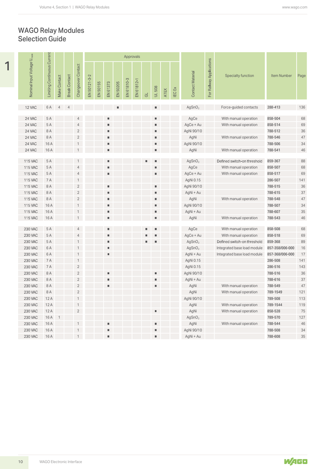#### WAGO Relay Modules Selection Guide

|                                        |                                    |                |                      |                              |              |          |                     |                |            | Approvals  |                         |               |             |               |                         |                          |                             |                    |          |
|----------------------------------------|------------------------------------|----------------|----------------------|------------------------------|--------------|----------|---------------------|----------------|------------|------------|-------------------------|---------------|-------------|---------------|-------------------------|--------------------------|-----------------------------|--------------------|----------|
| Nominal Input Voltage U <sub>nom</sub> | <b>Limiting Continuous Current</b> | Make Contact   | <b>Break Contact</b> | Changeover Contact           | EN 50121-3-2 | EN 50155 | EN 61373            | EN 50205       | EN 61810-3 | EN 61812-1 | $\overline{\texttt{C}}$ | <b>UL 508</b> | <b>ATEX</b> | <b>IEC Ex</b> | <b>Contact Material</b> | For Railway Applications | <b>Specialty function</b>   | Item Number        | Page     |
| 12 VAC                                 | 6A                                 | $\overline{4}$ | $\overline{4}$       |                              |              |          |                     | $\blacksquare$ |            |            |                         | ш             |             |               | AgSnO <sub>2</sub>      |                          | Force-guided contacts       | 288-413            | 136      |
| 24 VAC                                 | 5 A                                |                |                      | $\overline{4}$               |              |          | $\blacksquare$      |                |            |            |                         | ш             |             |               | AgCe                    |                          | With manual operation       | 858-504            | 68       |
| 24 VAC                                 | 5 A                                |                |                      | $\overline{4}$               |              |          | ٠                   |                |            |            |                         |               |             |               | AgCe + Au               |                          | With manual operation       | 858-514            | 69       |
| 24 VAC                                 | 8 A                                |                |                      | $\sqrt{2}$                   |              |          | ٠                   |                |            |            |                         |               |             |               | AgNi 90/10              |                          |                             | 788-512            | 36       |
| 24 VAC                                 | 8 A                                |                |                      | $\sqrt{2}$                   |              |          | $\blacksquare$      |                |            |            |                         |               |             |               | AgNi                    |                          | With manual operation       | 788-546            | 47       |
| 24 VAC                                 | 16A                                |                |                      | $\mathbf{1}$                 |              |          | $\blacksquare$      |                |            |            |                         | ш             |             |               | AgNi 90/10              |                          |                             | 788-506            | 34       |
| 24 VAC                                 | 16A                                |                |                      |                              |              |          | ٠                   |                |            |            |                         | ш             |             |               | AgNi                    |                          | With manual operation       | 788-541            | 46       |
| 115 VAC                                | 5 A                                |                |                      | $\mathbf{1}$                 |              |          | $\blacksquare$      |                |            |            | п                       | ш             |             |               | AgSnO <sub>2</sub>      |                          | Defined switch-on threshold | 859-367            | 88       |
| 115 VAC                                | 5 A                                |                |                      | $\overline{4}$               |              |          | ٠                   |                |            |            |                         |               |             |               | AgCe                    |                          | With manual operation       | 858-507            | 68       |
| 115 VAC                                | 5 A                                |                |                      | $\overline{4}$               |              |          | ٠                   |                |            |            |                         | ш             |             |               | AgCe + Au               |                          | With manual operation       | 858-517            | 69       |
| <b>115 VAC</b>                         | 7 A                                |                |                      | $\mathbf{1}$                 |              |          |                     |                |            |            |                         |               |             |               | AgNi 0.15               |                          |                             | 286-507            | 141      |
| <b>115 VAC</b>                         | 8A                                 |                |                      | $\sqrt{2}$                   |              |          | $\blacksquare$      |                |            |            |                         | ш             |             |               | AgNi 90/10              |                          |                             | 788-515            | 36       |
| <b>115 VAC</b>                         | 8 A                                |                |                      | $\sqrt{2}$                   |              |          | ٠                   |                |            |            |                         | п             |             |               | AgNi + Au               |                          |                             | 788-615            | 37       |
| <b>115 VAC</b>                         | 8 A                                |                |                      | $\sqrt{2}$                   |              |          | ٠                   |                |            |            |                         | ш             |             |               | AgNi                    |                          | With manual operation       | 788-548            | 47       |
| <b>115 VAC</b>                         | 16A                                |                |                      | $\mathbf{1}$                 |              |          | $\blacksquare$      |                |            |            |                         | ш             |             |               | AgNi 90/10              |                          |                             | 788-507            | 34       |
| <b>115 VAC</b>                         | 16A                                |                |                      | $\mathbf{1}$                 |              |          | $\blacksquare$      |                |            |            |                         | ш             |             |               | AgNi + Au               |                          |                             | 788-607            | 35       |
| 115 VAC                                | 16A                                |                |                      | $\mathbf{1}$                 |              |          | ٠                   |                |            |            |                         | ш             |             |               | AgNi                    |                          | With manual operation       | 788-543            | 46       |
| 230 VAC                                | 5 A                                |                |                      | $\overline{4}$               |              |          | $\blacksquare$      |                |            |            |                         |               |             |               | AgCe                    |                          | With manual operation       | 858-508            | 68       |
| <b>230 VAC</b>                         | 5 A                                |                |                      | $\overline{4}$               |              |          | $\blacksquare$      |                |            |            |                         |               |             |               | AgCe + Au               |                          | With manual operation       | 858-518            | 69       |
| 230 VAC                                | 5 A                                |                |                      | $\mathbf{1}$                 |              |          | $\blacksquare$      |                |            |            |                         | ш             |             |               | AgSnO <sub>2</sub>      |                          | Defined switch-on threshold | 859-368            | 89       |
| 230 VAC                                | 6A                                 |                |                      | $\mathbf{1}$                 |              |          | ш                   |                |            |            |                         |               |             |               | AgSnO <sub>2</sub>      |                          | Integrated base load module | 857-358/006-000    | 16       |
| 230 VAC                                | 6A                                 |                |                      | $\mathbf{1}$                 |              |          | п                   |                |            |            |                         |               |             |               | AgNi + Au               |                          | Integrated base load module | 857-368/006-000    | 17       |
| 230 VAC                                | <b>7A</b>                          |                |                      | $\mathbf{1}$                 |              |          |                     |                |            |            |                         |               |             |               | AgNi 0.15               |                          |                             | 286-508            | 141      |
| 230 VAC                                | $7A$                               |                |                      | $\overline{c}$               |              |          |                     |                |            |            |                         |               |             |               | AgNi 0.15               |                          |                             | 286-516            | 143      |
| <b>230 VAC</b>                         | $8\,\mathrm{\AA}$                  |                |                      | $\sqrt{2}$                   |              |          | ٠                   |                |            |            |                         | ш             |             |               | AgNi 90/10              |                          |                             | 788-516            | $36\,$   |
| 230 VAC                                | $8\,\mathrm{\AA}$                  |                |                      | $\overline{c}$               |              |          | ٠                   |                |            |            |                         | ш             |             |               | AgNi + Au               |                          |                             | 788-616            | $37\,$   |
| 230 VAC                                | $8\,\mathrm{\AA}$                  |                |                      | $\sqrt{2}$                   |              |          | ٠                   |                |            |            |                         | ш             |             |               | AgNi                    |                          | With manual operation       | 788-549            | $47\,$   |
| 230 VAC                                | 8 A                                |                |                      | $\sqrt{2}$                   |              |          |                     |                |            |            |                         |               |             |               | AgNi                    |                          | With manual operation       | 789-1549           | 121      |
| 230 VAC                                | 12A                                |                |                      | $\mathbf{1}$                 |              |          |                     |                |            |            |                         |               |             |               | AgNi 90/10              |                          |                             | 789-508            | 113      |
| 230 VAC                                | 12A                                |                |                      | $\mathbf{1}$                 |              |          |                     |                |            |            |                         |               |             |               | AgNi                    |                          | With manual operation       | 789-1544           | 119      |
| 230 VAC                                | 12A                                |                |                      | $\sqrt{2}$                   |              |          |                     |                |            |            |                         | ш             |             |               | AgNi                    |                          | With manual operation       | 858-528            | $75\,$   |
| 230 VAC                                | 16A 1                              |                |                      |                              |              |          |                     |                |            |            |                         |               |             |               | AgSnO <sub>2</sub>      |                          |                             | 789-570            | 127      |
| 230 VAC                                | 16 A                               |                |                      | $\mathbf{1}$                 |              |          | ٠                   |                |            |            |                         | ш             |             |               | AgNi                    |                          | With manual operation       | 788-544            | 46       |
| <b>230 VAC</b><br><b>230 VAC</b>       | 16 A<br>16 A                       |                |                      | $\mathbf{1}$<br>$\mathbf{1}$ |              |          | $\blacksquare$<br>٠ |                |            |            |                         | ш             |             |               | AgNi 90/10              |                          |                             | 788-508<br>788-608 | 34<br>35 |

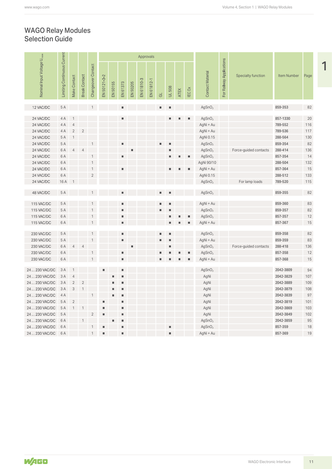#### Selection Guide WAGO Relay Modules

|                                        |                                    |                          |                            |                    |                |          |                |                 | Approvals  |            |                |                |             |                |                         |                          |                           |                    |      |
|----------------------------------------|------------------------------------|--------------------------|----------------------------|--------------------|----------------|----------|----------------|-----------------|------------|------------|----------------|----------------|-------------|----------------|-------------------------|--------------------------|---------------------------|--------------------|------|
| Nominal Input Voltage U <sub>nom</sub> | <b>Limiting Continuous Current</b> | Make Contact             | <b>Break Contact</b>       | Changeover Contact | EN 50121-3-2   | EN 50155 | EN 61373       | <b>EN 50205</b> | EN 61810-3 | EN 61812-1 | $\vec{\sigma}$ | <b>UL 508</b>  | <b>ATEX</b> | IEC Ex         | <b>Contact Material</b> | For Railway Applications | <b>Specialty function</b> | <b>Item Number</b> | Page |
| 12 VAC/DC                              | 5 A                                |                          |                            |                    |                |          | $\blacksquare$ |                 |            |            | ш              | $\blacksquare$ |             |                | AgSnO <sub>2</sub>      |                          |                           | 859-353            | 82   |
| 24 VAC/DC                              | 4A                                 | $\overline{1}$           |                            |                    |                |          |                |                 |            |            |                | ٠              | п           | $\blacksquare$ | AgSnO <sub>2</sub>      |                          |                           | 857-1330           | 20   |
| 24 VAC/DC                              | 4 A                                | $\overline{4}$           |                            |                    |                |          |                |                 |            |            |                |                |             |                | AgNi + Au               |                          |                           | 789-552            | 116  |
| 24 VAC/DC                              | 4A                                 | $\overline{2}$           | $\overline{2}$             |                    |                |          |                |                 |            |            |                |                |             |                | AgNi + Au               |                          |                           | 789-536            | 117  |
| 24 VAC/DC                              | 5 A                                | $\overline{1}$           |                            |                    |                |          |                |                 |            |            |                |                |             |                | AgNi 0.15               |                          |                           | 288-564            | 130  |
| 24 VAC/DC                              | 5 A                                |                          |                            |                    |                |          | п              |                 |            |            | ш              | ш              |             |                | AgSnO <sub>2</sub>      |                          |                           | 859-354            | 82   |
| 24 VAC/DC                              | 6 A                                | $\overline{4}$           | $\overline{\mathcal{L}}$   |                    |                |          |                |                 |            |            |                | ш              |             |                | AgSnO <sub>2</sub>      |                          | Force-guided contacts     | 288-414            | 136  |
| 24 VAC/DC                              | 6 A                                |                          |                            | $\mathbf{1}$       |                |          | ٠              |                 |            |            |                | ٠              |             | ш              | AgSnO <sub>2</sub>      |                          |                           | 857-354            | 14   |
| 24 VAC/DC                              | 6 A                                |                          |                            |                    |                |          |                |                 |            |            |                |                |             |                | AgNi 90/10              |                          |                           | 288-504            | 132  |
| 24 VAC/DC                              | 6 A                                |                          |                            |                    |                |          | ٠              |                 |            |            |                | п.             |             | $\blacksquare$ | AgNi + Au               |                          |                           | 857-364            | $15$ |
| 24 VAC/DC                              | 6 A                                |                          |                            | $\overline{2}$     |                |          |                |                 |            |            |                |                |             |                | AgNi 0.15               |                          |                           | 288-512            | 133  |
| 24 VAC/DC                              | 16A                                |                          |                            |                    |                |          |                |                 |            |            |                |                |             |                | AgSnO <sub>2</sub>      |                          | For lamp loads            | 789-520            | 115  |
| 48 VAC/DC                              | 5 A                                |                          |                            |                    |                |          |                |                 |            |            | $\blacksquare$ | $\blacksquare$ |             |                | AgSnO <sub>2</sub>      |                          |                           | 859-355            | 82   |
| 115 VAC/DC                             | 5 A                                |                          |                            |                    |                |          | ٠              |                 |            |            | $\blacksquare$ | ш              |             |                | AgNi + Au               |                          |                           | 859-360            | 83   |
| 115 VAC/DC                             | 5 A                                |                          |                            |                    |                |          |                |                 |            |            | $\blacksquare$ | п              |             |                | AgSnO <sub>2</sub>      |                          |                           | 859-357            | 82   |
| 115 VAC/DC                             | 6 A                                |                          |                            |                    |                |          | п              |                 |            |            |                | ٠              |             | ш              | AgSnO <sub>2</sub>      |                          |                           | 857-357            | 12   |
| 115 VAC/DC                             | 6 A                                |                          |                            |                    |                |          | ٠              |                 |            |            |                | ٠,             |             | ш              | AgNi + Au               |                          |                           | 857-367            | 15   |
|                                        |                                    |                          |                            |                    |                |          |                |                 |            |            |                |                |             |                |                         |                          |                           |                    |      |
| 230 VAC/DC                             | 5 A                                |                          |                            |                    |                |          | $\blacksquare$ |                 |            |            | $\blacksquare$ | $\blacksquare$ |             |                | AgSnO <sub>2</sub>      |                          |                           | 859-358            | 82   |
| 230 VAC/DC                             | 5 A                                |                          |                            |                    |                |          | ٠              |                 |            |            | $\blacksquare$ | п              |             |                | AgNi + Au               |                          |                           | 859-359            | 83   |
| 230 VAC/DC                             | 6A                                 | $\overline{4}$           | $\overline{\mathcal{L}}$   |                    |                |          |                | п               |            |            |                | п              |             |                | AgSnO <sub>2</sub>      |                          | Force-guided contacts     | 288-418            | 136  |
| 230 VAC/DC                             | 6A                                 |                          |                            |                    |                |          | ٠              |                 |            |            | ٠              |                |             |                | AgSnO <sub>2</sub>      |                          |                           | 857-358            | 12   |
| 230 VAC/DC                             | 6A                                 |                          |                            |                    |                |          | ٠              |                 |            |            | ш              |                |             |                | AgNi + Au               |                          |                           | 857-368            | 15   |
| 24  230 VAC/DC                         | 3A                                 | $\overline{1}$           |                            |                    |                |          |                |                 |            |            |                |                |             |                | AgSnO <sub>2</sub>      |                          |                           | 2042-3809          | 94   |
| 24  230 VAC/DC                         | 3 A                                | $\overline{4}$           |                            |                    |                |          | ш              |                 |            |            |                |                |             |                | AgNi                    |                          |                           | 2042-3829          | 107  |
| 24  230 VAC/DC                         | 3 A                                | $\overline{2}$           | $\overline{\phantom{0}}$   |                    |                |          | ш              |                 |            |            |                |                |             |                | AgNi                    |                          |                           | 2042-3889          | 109  |
| 24  230 VAC/DC                         | 3 A                                | $\overline{\mathbf{3}}$  | $\overline{1}$             |                    |                |          | ٠              |                 |            |            |                |                |             |                | AgNi                    |                          |                           | 2042-3879          | 108  |
| 24  230 VAC/DC                         | 4 A                                |                          |                            | $\overline{1}$     |                |          | ш              |                 |            |            |                |                |             |                | AgNi                    |                          |                           | 2042-3839          | 97   |
| 24  230 VAC/DC                         | 5 A                                | $\overline{\phantom{0}}$ |                            |                    |                |          |                |                 |            |            |                |                |             |                | AgNi                    |                          |                           | 2042-3819          | 101  |
| 24  230 VAC/DC                         | 5 A                                | $\overline{1}$           | $\overline{\phantom{0}}$ 1 |                    | ш              |          |                |                 |            |            |                |                |             |                | AgNi                    |                          |                           | 2042-3869          | 103  |
| 24  230 VAC/DC                         | 5 A                                |                          |                            | $\overline{2}$     | ш.             |          | $\blacksquare$ |                 |            |            |                |                |             |                | AgNi                    |                          |                           | 2042-3849          | 102  |
| 24  230 VAC/DC                         | 6 A                                |                          |                            |                    |                |          | ш              |                 |            |            |                |                |             |                | AgSnO <sub>2</sub>      |                          |                           | 2042-3859          | 95   |
| 24  230 VAC/DC                         | 6 A                                |                          |                            |                    | ш              |          | ٠              |                 |            |            |                | ш              |             |                | AgSnO <sub>2</sub>      |                          |                           | 857-359            | 18   |
| 24  230 VAC/DC 6 A                     |                                    |                          |                            | $\mathbf{1}$       | $\blacksquare$ |          | ٠              |                 |            |            |                | ٠              |             |                | AgNi + Au               |                          |                           | 857-369            | 19   |

11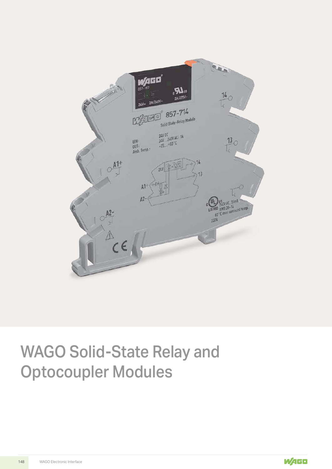

## WAGO Solid-State Relay and Optocoupler Modules

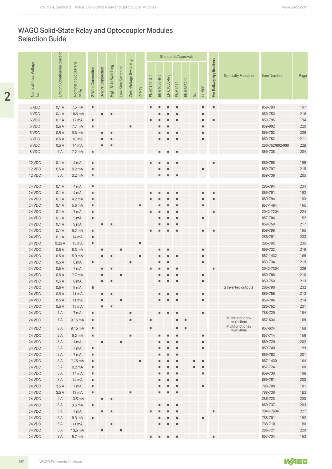### WAGO Solid-State Relay and Optocoupler Modules Selection Guide

|                                         |                                    |                                            |                      |                   |                     |                    |                        |                |                           |                |              |                | Standards/Approvals |                         |                |                          |                                |                      |            |
|-----------------------------------------|------------------------------------|--------------------------------------------|----------------------|-------------------|---------------------|--------------------|------------------------|----------------|---------------------------|----------------|--------------|----------------|---------------------|-------------------------|----------------|--------------------------|--------------------------------|----------------------|------------|
| Nominal Input Voltage<br>U <sub>N</sub> | <b>Limiting Continuous Current</b> | Nominal Input Current<br>at U <sub>N</sub> | 2-Wire Connection    | 3-Wire Connection | High-Side Switching | Low-Side Switching | Zero-Voltage Switching | $2-Way$        | EN 50121-3-2              | EN 61000-6-2   | EN 61000-6-3 | EN 61373       | EN 61812-1          | $\overline{\texttt{C}}$ | <b>UL 508</b>  | For Railway Applications | <b>Specialty Function</b>      | <b>Item Number</b>   | Page       |
| 5 ADC                                   | 0.1A                               | 7.5 mA                                     | ш.                   |                   |                     |                    |                        |                | ш                         |                | п            | л              |                     |                         | ш.             | $\blacksquare$           |                                | 859-793              | 197        |
| 5 VDC                                   | 0.1A                               | 16.5 mA                                    |                      | ш                 |                     |                    |                        |                |                           |                |              | ш              |                     |                         | ш              |                          |                                | 859-753              | 216        |
| 5 VDC                                   | 0.1A                               | 17 mA                                      | ш                    |                   |                     |                    |                        |                |                           |                |              | ш              |                     |                         | ш              | $\blacksquare$           |                                | 859-795              | 194        |
| 5 VDC                                   | 0.5A                               | 7.7 mA                                     | ш                    |                   |                     |                    | ٠                      |                |                           |                |              |                |                     |                         | ш              |                          |                                | 859-902              | 220        |
| 5 VDC                                   | 0.5A                               | 9.6 mA                                     |                      | ш                 | л                   |                    |                        |                |                           |                |              | п              |                     |                         | п              |                          |                                | 859-702              | 209        |
| 5 VDC                                   | 0.5A                               | 10 mA                                      |                      |                   | п                   |                    |                        |                |                           |                | п            | л              |                     |                         | ш              |                          |                                | 859-752              | 211        |
| 5 VDC                                   | 0.5A                               | 14 mA                                      |                      | ٠                 | п                   |                    |                        |                |                           |                |              |                |                     |                         |                |                          |                                | 286-752/002-000      | 228        |
| 5 VDC                                   | 5 A                                | 7.2 mA                                     | ш.                   |                   |                     |                    |                        |                |                           | ш              | п            | п              |                     |                         |                |                          |                                | 859-738              | 204        |
| 12 VDC                                  | 0.1A                               | 4 mA                                       | $\blacksquare$       |                   |                     |                    |                        |                |                           |                | п            | п              |                     |                         |                | ш                        |                                | 859-798              | 196        |
| 12 VDC                                  | 0.5A                               | 9.2 <sub>mA</sub>                          | ш                    |                   |                     |                    |                        |                |                           |                |              |                |                     |                         | п              |                          |                                | 859-797              | 215        |
| 12 VDC                                  | 5 A                                | 3.2 <sub>mA</sub>                          | u,                   |                   |                     |                    |                        |                |                           | ٠              | ٠            | ш              |                     |                         |                |                          |                                | 859-739              | 205        |
|                                         |                                    |                                            |                      |                   |                     |                    |                        |                |                           |                |              |                |                     |                         |                |                          |                                |                      |            |
| 24 VDC                                  | 0.1A                               | 4 mA                                       | $\blacksquare$       |                   |                     |                    |                        |                |                           |                |              |                |                     |                         |                |                          |                                | 286-794              | 234        |
| 24 VDC                                  | 0.1A                               | 4 mA                                       | ш.                   |                   |                     |                    |                        |                |                           |                |              | л              |                     |                         | п              | ш                        |                                | 859-791              | 192        |
| 24 VDC                                  | 0.1A                               | 4.2 mA                                     | ш.                   |                   |                     |                    |                        |                |                           |                |              |                |                     |                         |                | ш                        |                                | 859-794              | 193        |
| 24 VDC                                  | 0.1A                               | 5.6 mA                                     | u,                   |                   |                     |                    |                        | $\blacksquare$ |                           |                |              |                |                     |                         | ш.             |                          |                                | 857-1494             | 165        |
| 24 VDC<br>24 VDC                        | 0.1A<br>0.1A                       | 7 mA                                       | ш.<br>ш.             |                   |                     |                    |                        |                |                           |                |              |                |                     |                         | ш              | $\blacksquare$           |                                | 2042-7204<br>857-704 | 224<br>152 |
| 24 VDC                                  | 0.1A                               | 9 <sub>mA</sub><br>9 <sub>mA</sub>         |                      | ш                 |                     |                    |                        |                |                           |                |              |                |                     |                         |                |                          |                                | 859-759              | 217        |
| 24 VDC                                  | 0.1A                               | 9.2 <sub>mA</sub>                          | $\blacksquare$       |                   |                     |                    |                        |                | ш                         |                |              | п              |                     |                         | $\blacksquare$ | ш                        |                                | 859-796              | 195        |
| 24 VDC                                  | 0.1A                               | 14 mA                                      | ш.                   |                   |                     |                    |                        |                |                           |                |              |                |                     |                         |                |                          |                                | 286-791              | 233        |
| 24 VDC                                  | 0.25A                              | 15 mA                                      | ш                    |                   |                     |                    |                        | ٠              |                           |                |              |                |                     |                         |                |                          |                                | 286-792              | 235        |
| 24 VDC                                  | 0.5A                               | 5.3 <sub>m</sub> A                         |                      |                   |                     | п                  |                        |                |                           |                | п            |                |                     |                         | п              |                          |                                | 859-732              | 218        |
| 24 VDC                                  | 0.5A                               | 5.9 mA                                     |                      |                   | л                   |                    |                        | $\blacksquare$ |                           |                |              | п              |                     |                         | I.             |                          |                                | 857-1432             | 166        |
| <b>24 VDC</b>                           | 0.5A                               | 6 <sub>m</sub> A                           | $\blacksquare$       |                   |                     |                    | $\blacksquare$         |                |                           | $\blacksquare$ | ٠            |                |                     |                         | ш              |                          |                                | 859-734              | 219        |
| 24 VDC                                  | 0.5A                               | 7 mA                                       |                      |                   | п                   |                    |                        |                |                           |                |              |                |                     |                         |                | $\blacksquare$           |                                | 2042-7304            | 226        |
| 24 VDC                                  | 0.5A                               | 7.7 mA                                     |                      |                   |                     |                    |                        |                |                           |                |              |                |                     |                         | ш              |                          |                                | 859-708              | 210        |
| <b>24 VDC</b>                           | 0.5A                               | 8 mA                                       |                      | $\blacksquare$    | $\blacksquare$      |                    |                        |                |                           |                | п            | ш              |                     |                         | ш              |                          |                                | 859-758              | 213        |
| 24 VDC                                  | 0.5A                               | 9 <sub>mA</sub>                            | $\blacksquare$       |                   |                     |                    |                        |                |                           |                |              |                |                     |                         |                |                          | 2 inverted outputs             | 286-790              | 232        |
| 24 VDC                                  | 0.5A                               | 11 mA                                      |                      | ш.                | $\blacksquare$      |                    |                        |                |                           | ٠              | ٠            | ш.             |                     |                         | ш              |                          |                                | 859-756              | 212        |
| <b>24 VDC</b>                           | 0.5A<br>0.5A                       | $11 \text{ mA}$                            |                      | ш<br>ш.           | $\blacksquare$      | л                  |                        |                |                           | ш              | ٠            | ш              |                     |                         | ш.             |                          |                                | 859-706<br>286-752   | 214        |
| 24 VDC<br>24 VDC                        | 1 A                                | 15 mA<br>7 mA                              | ш.                   |                   |                     |                    | ٠                      |                |                           | п.             | ٠            | $\blacksquare$ |                     |                         | ш.             |                          |                                | 788-720              | 231<br>184 |
| 24 VDC                                  |                                    |                                            | $\blacksquare$       |                   |                     |                    | $\blacksquare$         |                | $\blacksquare$            |                |              |                |                     |                         |                |                          | Multifunctional/               | 857-634              |            |
|                                         | 1 A                                | 9.15 mA                                    |                      |                   |                     |                    |                        |                |                           |                |              | ш.             | $\blacksquare$      |                         |                |                          | multi-time<br>Multifunctional/ |                      | 169        |
| <b>24 VDC</b>                           | 2A                                 | 9.15 mA                                    | $\blacksquare$       |                   |                     |                    |                        |                | ш                         |                |              | ш              | ٠                   |                         |                |                          | multi-time                     | 857-624              | 168        |
| 24 VDC                                  | 2A                                 | 9.2 <sub>m</sub> A                         | ш.                   |                   |                     |                    | ٠                      |                |                           |                | ٠            | ш              |                     |                         | ш              |                          |                                | 857-714              | 156        |
| 24 VDC                                  | 3A                                 | 4 mA                                       |                      | ш                 |                     | л                  |                        |                |                           |                |              |                |                     |                         | п              |                          |                                | 859-720              | 202        |
| 24 VDC                                  | 3 A<br>3 A                         | 7 mA<br>7 mA                               | ш.<br>$\blacksquare$ |                   |                     |                    |                        |                |                           |                |              | ш<br>ш         |                     |                         | ш              |                          |                                | 859-740              | 199        |
| 24 VDC<br><b>24 VDC</b>                 | 3 A                                | 7.75 mA                                    | $\blacksquare$       |                   |                     |                    |                        | $\blacksquare$ |                           |                | ٠            | ш              |                     | ш.                      | $\blacksquare$ |                          |                                | 859-762<br>857-1430  | 201<br>164 |
| 24 VDC                                  | 3 A                                | 9.2 <sub>m</sub> A                         | $\blacksquare$       |                   |                     |                    |                        |                |                           |                | ٠            | ш.             |                     | ш                       | $\blacksquare$ |                          |                                | 857-724              | 160        |
| 24 VDC                                  | 3A                                 | 14 mA                                      | $\blacksquare$       |                   |                     |                    |                        |                |                           | ш              | п            | п.             |                     |                         | ш              |                          |                                | 859-730              | 198        |
| 24 VDC                                  | 3 A                                | 14 mA                                      | ш.                   |                   |                     |                    |                        |                |                           |                | п            | л.             |                     |                         |                |                          |                                | 859-761              | 200        |
| 24 VDC                                  | 3.5A                               | 7 mA                                       | ш.                   |                   |                     |                    |                        |                |                           |                |              | ш              |                     |                         | $\blacksquare$ |                          |                                | 788-700              | 181        |
| 24 VDC                                  | 3.5A                               | $13 \text{ mA}$                            | ш.                   |                   |                     |                    | $\blacksquare$         |                |                           | ٠              | ٠            | ш              |                     |                         |                |                          |                                | 788-730              | 183        |
| <b>24 VDC</b>                           | 4 A                                | 13.5 mA                                    |                      | ш                 | $\blacksquare$      |                    |                        |                |                           |                |              |                |                     |                         |                |                          |                                | 286-723              | 230        |
| 24 VDC                                  | 5 A                                | 3.5 <sub>mA</sub>                          | ш.                   |                   |                     |                    |                        |                |                           | ш              | ٠            | H.             |                     |                         |                |                          |                                | 859-737              | 203        |
| <b>24 VDC</b>                           | 5 A                                | 7 mA                                       |                      | $\blacksquare$    | л                   |                    |                        |                | ш                         |                |              | ш              |                     |                         |                | ш                        |                                | 2042-7604            | 227        |
| 24 VDC                                  | 5 A                                | 9.3 <sub>mA</sub>                          | $\blacksquare$       |                   |                     |                    |                        |                |                           |                | ٠            | ш.             |                     |                         | П              |                          |                                | 788-701              | 182        |
| <b>24 VDC</b>                           | 5 A                                | 11 mA                                      |                      |                   | п                   |                    |                        |                |                           | ш              | ٠            | $\blacksquare$ |                     |                         |                |                          |                                | 788-710              | 180        |
| 24 VDC                                  | 5 A                                | 13.5 mA                                    |                      |                   |                     | л                  |                        |                |                           |                |              |                |                     |                         |                |                          |                                | 286-721              | 229        |
| 24 VDC                                  | 8 A                                | 8.7 mA                                     |                      |                   |                     |                    |                        |                | $\mathbf{r} = \mathbf{r}$ |                | .            |                |                     |                         |                | $\blacksquare$           |                                | 857-734              | 163        |